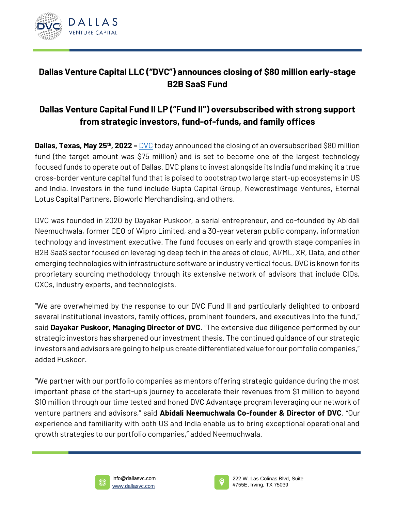

## **Dallas Venture Capital LLC ("DVC") announces closing of \$80 million early-stage B2B SaaS Fund**

## **Dallas Venture Capital Fund II LP ("Fund II") oversubscribed with strong support from strategic investors, fund-of-funds, and family offices**

**Dallas, Texas, May 25<sup>th</sup>, 2022 – [DVC](http://www.dallasvc.com/)** today announced the closing of an oversubscribed \$80 million fund (the target amount was \$75 million) and is set to become one of the largest technology focused funds to operate out of Dallas. DVC plans to invest alongside its India fund making it a true cross-border venture capital fund that is poised to bootstrap two large start-up ecosystems in US and India. Investors in the fund include Gupta Capital Group, NewcrestImage Ventures, Eternal Lotus Capital Partners, Bioworld Merchandising, and others.

DVC was founded in 2020 by Dayakar Puskoor, a serial entrepreneur, and co-founded by Abidali Neemuchwala, former CEO of Wipro Limited, and a 30-year veteran public company, information technology and investment executive. The fund focuses on early and growth stage companies in B2B SaaS sector focused on leveraging deep tech in the areas of cloud, AI/ML, XR, Data, and other emerging technologies with infrastructure software or industry vertical focus. DVC is known for its proprietary sourcing methodology through its extensive network of advisors that include CIOs, CXOs, industry experts, and technologists.

"We are overwhelmed by the response to our DVC Fund II and particularly delighted to onboard several institutional investors, family offices, prominent founders, and executives into the fund," said **Dayakar Puskoor, Managing Director of DVC**. "The extensive due diligence performed by our strategic investors has sharpened our investment thesis. The continued guidance of our strategic investors and advisors are going to help us create differentiated value for our portfolio companies," added Puskoor.

"We partner with our portfolio companies as mentors offering strategic guidance during the most important phase of the start-up's journey to accelerate their revenues from \$1 million to beyond \$10 million through our time tested and honed DVC Advantage program leveraging our network of venture partners and advisors," said **Abidali Neemuchwala Co-founder & Director of DVC**. "Our experience and familiarity with both US and India enable us to bring exceptional operational and growth strategies to our portfolio companies," added Neemuchwala.